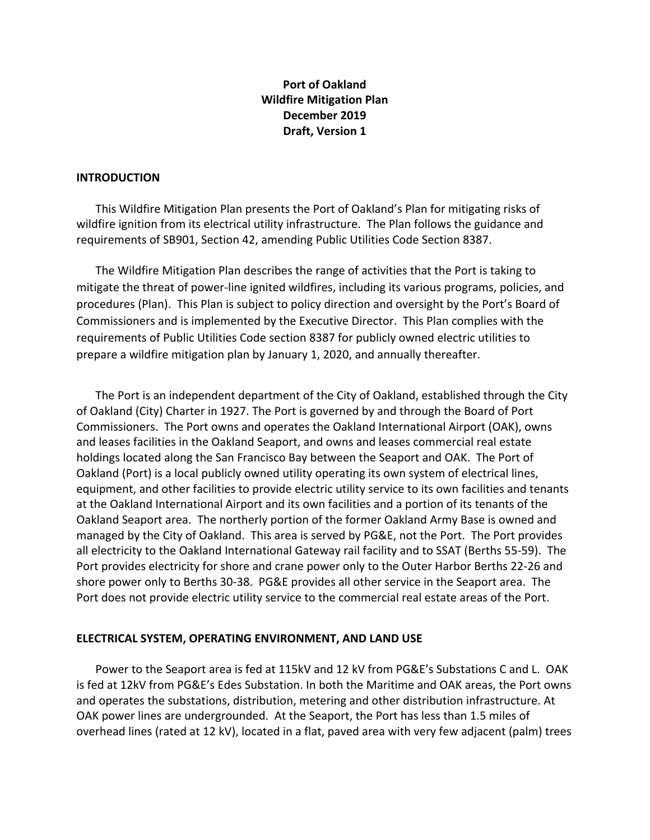## **Port of Oakland Wildfire Mitigation Plan December 2019 Draft, Version 1**

#### **INTRODUCTION**

This Wildfire Mitigation Plan presents the Port of Oakland's Plan for mitigating risks of wildfire ignition from its electrical utility infrastructure. The Plan follows the guidance and requirements of SB901, Section 42, amending Public Utilities Code Section 8387.

The Wildfire Mitigation Plan describes the range of activities that the Port is taking to mitigate the threat of power-line ignited wildfires, including its various programs, policies, and procedures (Plan). This Plan is subject to policy direction and oversight by the Port's Board of Commissioners and is implemented by the Executive Director. This Plan complies with the requirements of Public Utilities Code section 8387 for publicly owned electric utilities to prepare a wildfire mitigation plan by January 1, 2020, and annually thereafter.

The Port is an independent department of the City of Oakland, established through the City of Oakland (City) Charter in 1927. The Port is governed by and through the Board of Port Commissioners. The Port owns and operates the Oakland International Airport (OAK), owns and leases facilities in the Oakland Seaport, and owns and leases commercial real estate holdings located along the San Francisco Bay between the Seaport and OAK. The Port of Oakland (Port) is a local publicly owned utility operating its own system of electrical lines, equipment, and other facilities to provide electric utility service to its own facilities and tenants at the Oakland International Airport and its own facilities and a portion of its tenants of the Oakland Seaport area. The northerly portion of the former Oakland Army Base is owned and managed by the City of Oakland. This area is served by PG&E, not the Port. The Port provides all electricity to the Oakland International Gateway rail facility and to SSAT (Berths 55-59). The Port provides electricity for shore and crane power only to the Outer Harbor Berths 22-26 and shore power only to Berths 30-38. PG&E provides all other service in the Seaport area. The Port does not provide electric utility service to the commercial real estate areas of the Port.

#### **ELECTRICAL SYSTEM, OPERATING ENVIRONMENT, AND LAND USE**

Power to the Seaport area is fed at 115kV and 12 kV from PG&E's Substations C and L. OAK is fed at 12kV from PG&E's Edes Substation. In both the Maritime and OAK areas, the Port owns and operates the substations, distribution, metering and other distribution infrastructure. At OAK power lines are undergrounded. At the Seaport, the Port has less than 1.5 miles of overhead lines (rated at 12 kV), located in a flat, paved area with very few adjacent (palm) trees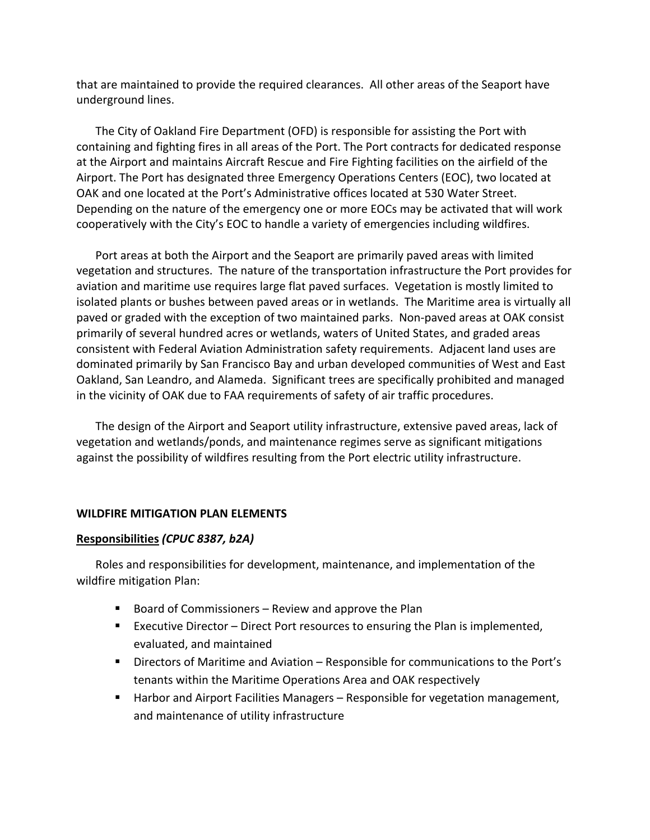that are maintained to provide the required clearances. All other areas of the Seaport have underground lines.

The City of Oakland Fire Department (OFD) is responsible for assisting the Port with containing and fighting fires in all areas of the Port. The Port contracts for dedicated response at the Airport and maintains Aircraft Rescue and Fire Fighting facilities on the airfield of the Airport. The Port has designated three Emergency Operations Centers (EOC), two located at OAK and one located at the Port's Administrative offices located at 530 Water Street. Depending on the nature of the emergency one or more EOCs may be activated that will work cooperatively with the City's EOC to handle a variety of emergencies including wildfires.

Port areas at both the Airport and the Seaport are primarily paved areas with limited vegetation and structures. The nature of the transportation infrastructure the Port provides for aviation and maritime use requires large flat paved surfaces. Vegetation is mostly limited to isolated plants or bushes between paved areas or in wetlands. The Maritime area is virtually all paved or graded with the exception of two maintained parks. Non-paved areas at OAK consist primarily of several hundred acres or wetlands, waters of United States, and graded areas consistent with Federal Aviation Administration safety requirements. Adjacent land uses are dominated primarily by San Francisco Bay and urban developed communities of West and East Oakland, San Leandro, and Alameda. Significant trees are specifically prohibited and managed in the vicinity of OAK due to FAA requirements of safety of air traffic procedures.

The design of the Airport and Seaport utility infrastructure, extensive paved areas, lack of vegetation and wetlands/ponds, and maintenance regimes serve as significant mitigations against the possibility of wildfires resulting from the Port electric utility infrastructure.

#### **WILDFIRE MITIGATION PLAN ELEMENTS**

#### **Responsibilities** *(CPUC 8387, b2A)*

Roles and responsibilities for development, maintenance, and implementation of the wildfire mitigation Plan:

- Board of Commissioners Review and approve the Plan
- Executive Director Direct Port resources to ensuring the Plan is implemented, evaluated, and maintained
- Directors of Maritime and Aviation Responsible for communications to the Port's tenants within the Maritime Operations Area and OAK respectively
- Harbor and Airport Facilities Managers Responsible for vegetation management, and maintenance of utility infrastructure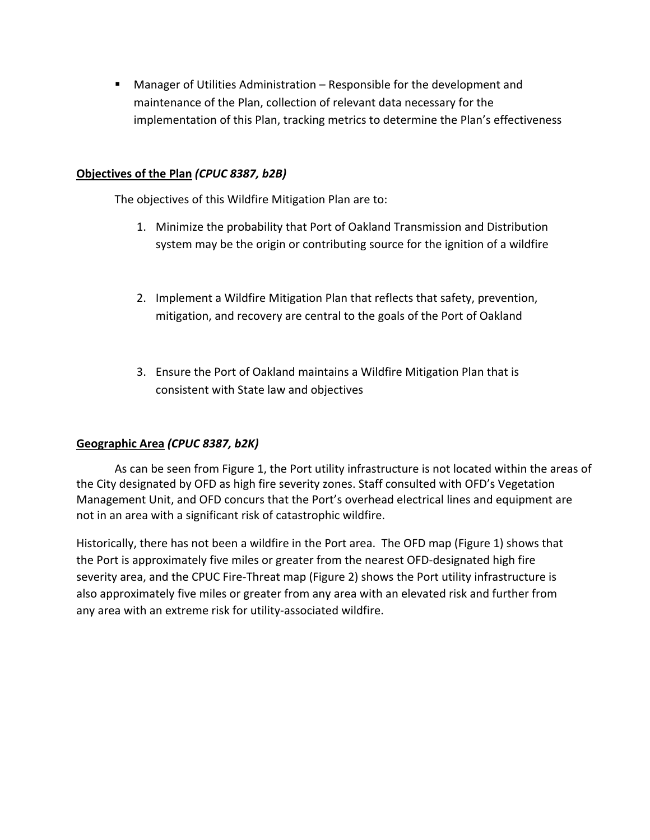■ Manager of Utilities Administration – Responsible for the development and maintenance of the Plan, collection of relevant data necessary for the implementation of this Plan, tracking metrics to determine the Plan's effectiveness

#### **Objectives of the Plan** *(CPUC 8387, b2B)*

The objectives of this Wildfire Mitigation Plan are to:

- 1. Minimize the probability that Port of Oakland Transmission and Distribution system may be the origin or contributing source for the ignition of a wildfire
- 2. Implement a Wildfire Mitigation Plan that reflects that safety, prevention, mitigation, and recovery are central to the goals of the Port of Oakland
- 3. Ensure the Port of Oakland maintains a Wildfire Mitigation Plan that is consistent with State law and objectives

## **Geographic Area** *(CPUC 8387, b2K)*

As can be seen from Figure 1, the Port utility infrastructure is not located within the areas of the City designated by OFD as high fire severity zones. Staff consulted with OFD's Vegetation Management Unit, and OFD concurs that the Port's overhead electrical lines and equipment are not in an area with a significant risk of catastrophic wildfire.

Historically, there has not been a wildfire in the Port area. The OFD map (Figure 1) shows that the Port is approximately five miles or greater from the nearest OFD-designated high fire severity area, and the CPUC Fire-Threat map (Figure 2) shows the Port utility infrastructure is also approximately five miles or greater from any area with an elevated risk and further from any area with an extreme risk for utility-associated wildfire.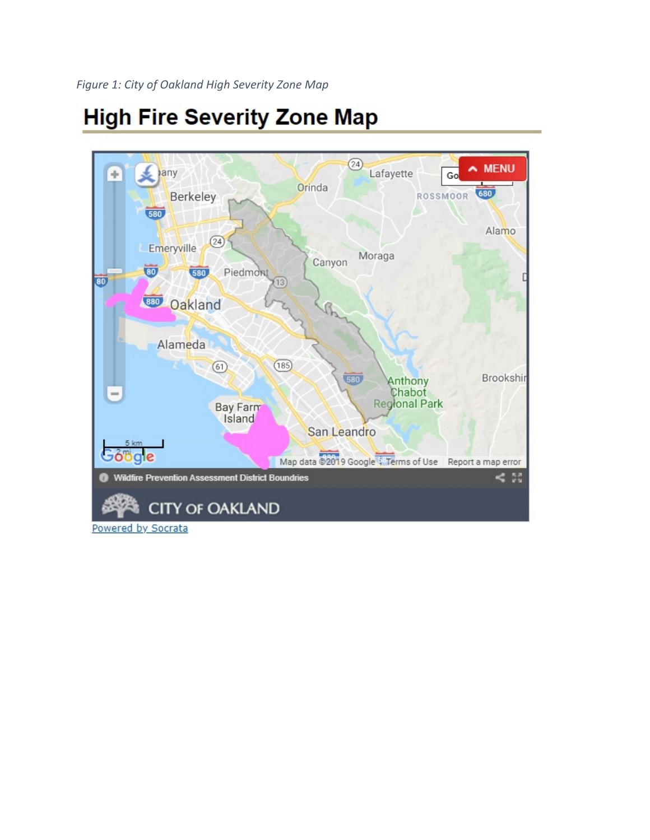# **High Fire Severity Zone Map**



Powered by Socrata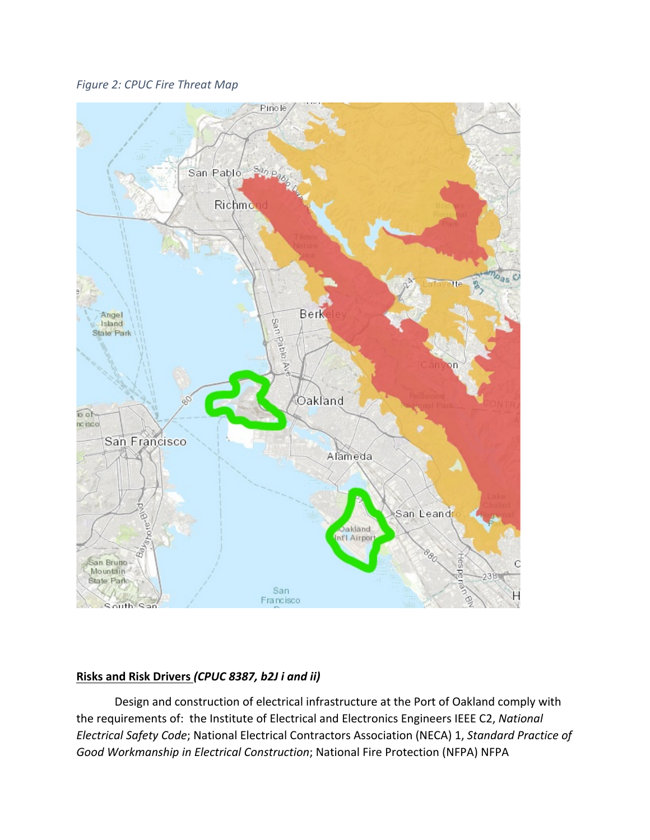*Figure 2: CPUC Fire Threat Map*



# **Risks and Risk Drivers** *(CPUC 8387, b2J i and ii)*

Design and construction of electrical infrastructure at the Port of Oakland comply with the requirements of: the Institute of Electrical and Electronics Engineers IEEE C2, *National Electrical Safety Code*; National Electrical Contractors Association (NECA) 1, *Standard Practice of Good Workmanship in Electrical Construction*; National Fire Protection (NFPA) NFPA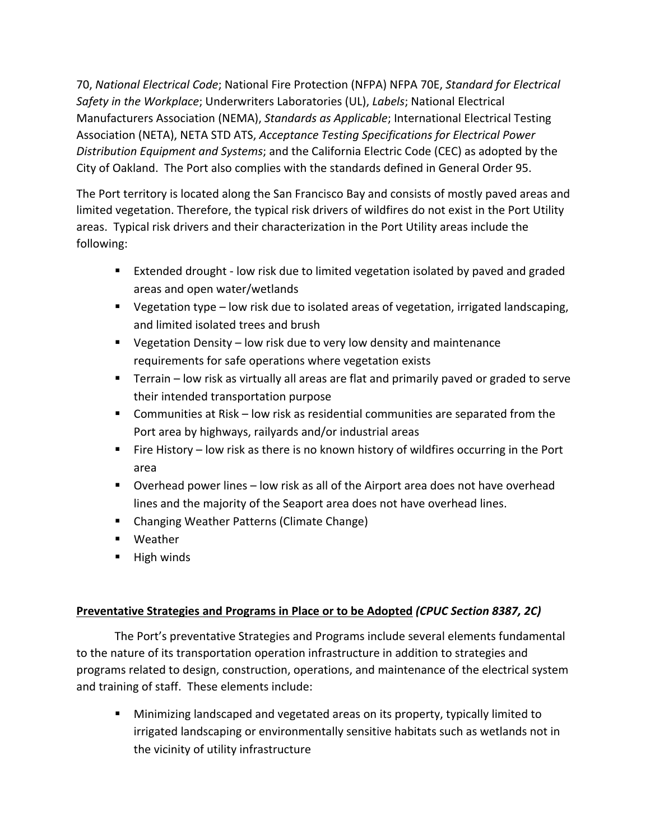70, *National Electrical Code*; National Fire Protection (NFPA) NFPA 70E, *Standard for Electrical Safety in the Workplace*; Underwriters Laboratories (UL), *Labels*; National Electrical Manufacturers Association (NEMA), *Standards as Applicable*; International Electrical Testing Association (NETA), NETA STD ATS, *Acceptance Testing Specifications for Electrical Power Distribution Equipment and Systems*; and the California Electric Code (CEC) as adopted by the City of Oakland. The Port also complies with the standards defined in General Order 95.

The Port territory is located along the San Francisco Bay and consists of mostly paved areas and limited vegetation. Therefore, the typical risk drivers of wildfires do not exist in the Port Utility areas. Typical risk drivers and their characterization in the Port Utility areas include the following:

- Extended drought low risk due to limited vegetation isolated by paved and graded areas and open water/wetlands
- Vegetation type low risk due to isolated areas of vegetation, irrigated landscaping, and limited isolated trees and brush
- Vegetation Density low risk due to very low density and maintenance requirements for safe operations where vegetation exists
- Terrain low risk as virtually all areas are flat and primarily paved or graded to serve their intended transportation purpose
- Communities at Risk low risk as residential communities are separated from the Port area by highways, railyards and/or industrial areas
- Fire History low risk as there is no known history of wildfires occurring in the Port area
- Overhead power lines low risk as all of the Airport area does not have overhead lines and the majority of the Seaport area does not have overhead lines.
- Changing Weather Patterns (Climate Change)
- Weather
- High winds

# **Preventative Strategies and Programs in Place or to be Adopted** *(CPUC Section 8387, 2C)*

The Port's preventative Strategies and Programs include several elements fundamental to the nature of its transportation operation infrastructure in addition to strategies and programs related to design, construction, operations, and maintenance of the electrical system and training of staff. These elements include:

■ Minimizing landscaped and vegetated areas on its property, typically limited to irrigated landscaping or environmentally sensitive habitats such as wetlands not in the vicinity of utility infrastructure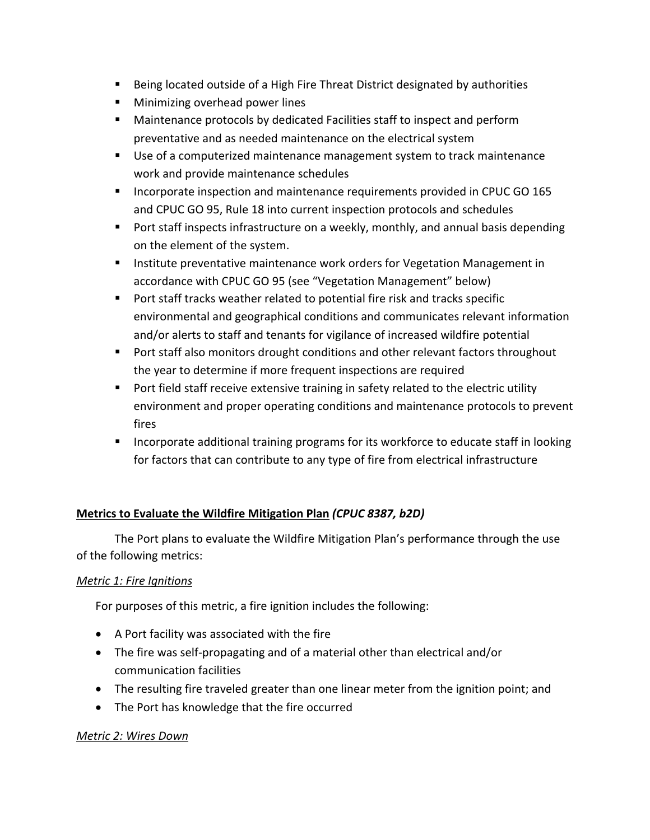- Being located outside of a High Fire Threat District designated by authorities
- Minimizing overhead power lines
- Maintenance protocols by dedicated Facilities staff to inspect and perform preventative and as needed maintenance on the electrical system
- Use of a computerized maintenance management system to track maintenance work and provide maintenance schedules
- Incorporate inspection and maintenance requirements provided in CPUC GO 165 and CPUC GO 95, Rule 18 into current inspection protocols and schedules
- Port staff inspects infrastructure on a weekly, monthly, and annual basis depending on the element of the system.
- **■** Institute preventative maintenance work orders for Vegetation Management in accordance with CPUC GO 95 (see "Vegetation Management" below)
- Port staff tracks weather related to potential fire risk and tracks specific environmental and geographical conditions and communicates relevant information and/or alerts to staff and tenants for vigilance of increased wildfire potential
- Port staff also monitors drought conditions and other relevant factors throughout the year to determine if more frequent inspections are required
- Port field staff receive extensive training in safety related to the electric utility environment and proper operating conditions and maintenance protocols to prevent fires
- Incorporate additional training programs for its workforce to educate staff in looking for factors that can contribute to any type of fire from electrical infrastructure

# **Metrics to Evaluate the Wildfire Mitigation Plan** *(CPUC 8387, b2D)*

The Port plans to evaluate the Wildfire Mitigation Plan's performance through the use of the following metrics:

## *Metric 1: Fire Ignitions*

For purposes of this metric, a fire ignition includes the following:

- A Port facility was associated with the fire
- The fire was self-propagating and of a material other than electrical and/or communication facilities
- The resulting fire traveled greater than one linear meter from the ignition point; and
- The Port has knowledge that the fire occurred

## *Metric 2: Wires Down*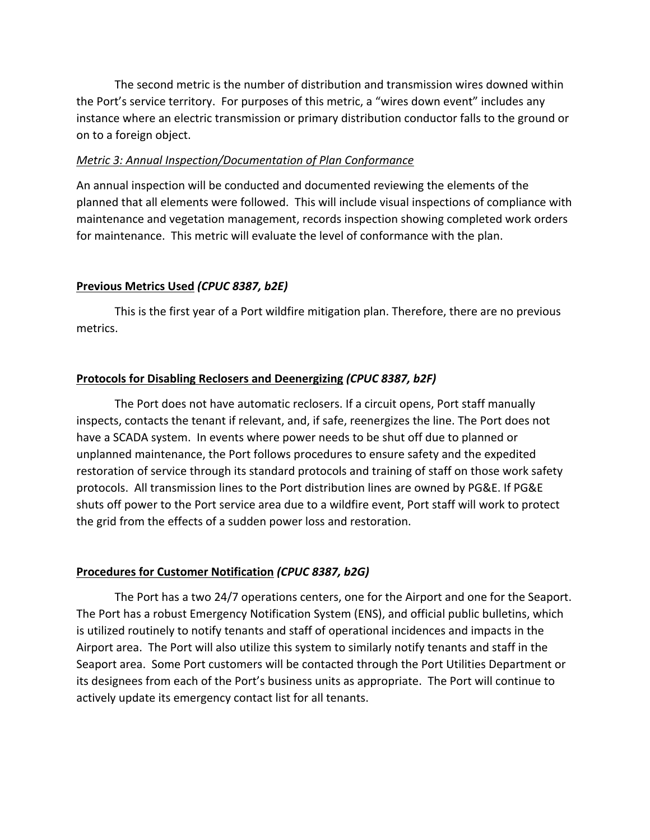The second metric is the number of distribution and transmission wires downed within the Port's service territory. For purposes of this metric, a "wires down event" includes any instance where an electric transmission or primary distribution conductor falls to the ground or on to a foreign object.

#### *Metric 3: Annual Inspection/Documentation of Plan Conformance*

An annual inspection will be conducted and documented reviewing the elements of the planned that all elements were followed. This will include visual inspections of compliance with maintenance and vegetation management, records inspection showing completed work orders for maintenance. This metric will evaluate the level of conformance with the plan.

## **Previous Metrics Used** *(CPUC 8387, b2E)*

This is the first year of a Port wildfire mitigation plan. Therefore, there are no previous metrics.

## **Protocols for Disabling Reclosers and Deenergizing** *(CPUC 8387, b2F)*

The Port does not have automatic reclosers. If a circuit opens, Port staff manually inspects, contacts the tenant if relevant, and, if safe, reenergizes the line. The Port does not have a SCADA system. In events where power needs to be shut off due to planned or unplanned maintenance, the Port follows procedures to ensure safety and the expedited restoration of service through its standard protocols and training of staff on those work safety protocols. All transmission lines to the Port distribution lines are owned by PG&E. If PG&E shuts off power to the Port service area due to a wildfire event, Port staff will work to protect the grid from the effects of a sudden power loss and restoration.

# **Procedures for Customer Notification** *(CPUC 8387, b2G)*

The Port has a two 24/7 operations centers, one for the Airport and one for the Seaport. The Port has a robust Emergency Notification System (ENS), and official public bulletins, which is utilized routinely to notify tenants and staff of operational incidences and impacts in the Airport area. The Port will also utilize this system to similarly notify tenants and staff in the Seaport area. Some Port customers will be contacted through the Port Utilities Department or its designees from each of the Port's business units as appropriate. The Port will continue to actively update its emergency contact list for all tenants.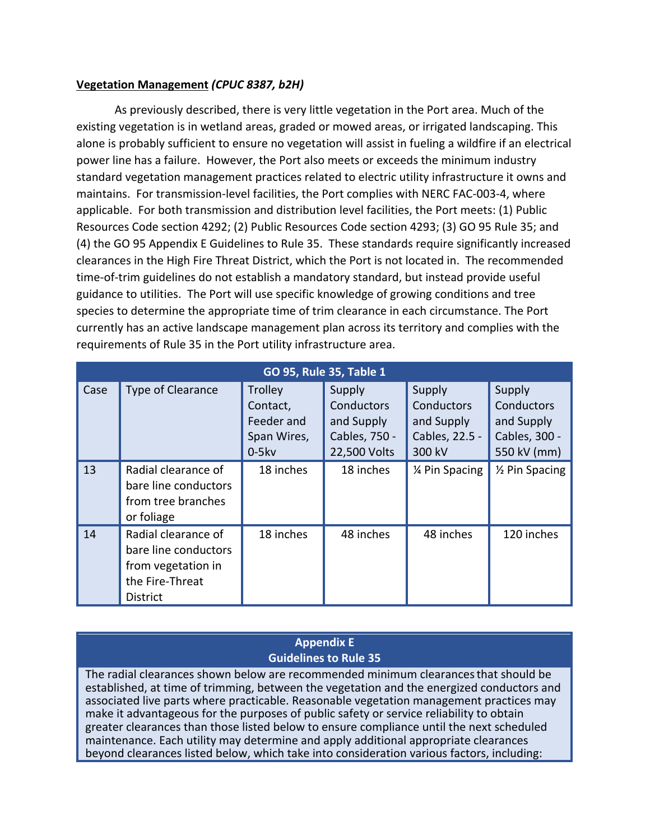#### **Vegetation Management** *(CPUC 8387, b2H)*

As previously described, there is very little vegetation in the Port area. Much of the existing vegetation is in wetland areas, graded or mowed areas, or irrigated landscaping. This alone is probably sufficient to ensure no vegetation will assist in fueling a wildfire if an electrical power line has a failure. However, the Port also meets or exceeds the minimum industry standard vegetation management practices related to electric utility infrastructure it owns and maintains. For transmission-level facilities, the Port complies with NERC FAC-003-4, where applicable. For both transmission and distribution level facilities, the Port meets: (1) Public Resources Code section 4292; (2) Public Resources Code section 4293; (3) GO 95 Rule 35; and (4) the GO 95 Appendix E Guidelines to Rule 35. These standards require significantly increased clearances in the High Fire Threat District, which the Port is not located in. The recommended time-of-trim guidelines do not establish a mandatory standard, but instead provide useful guidance to utilities. The Port will use specific knowledge of growing conditions and tree species to determine the appropriate time of trim clearance in each circumstance. The Port currently has an active landscape management plan across its territory and complies with the requirements of Rule 35 in the Port utility infrastructure area.

| GO 95, Rule 35, Table 1 |                                                                                                         |                                                                    |                                                                     |                                                                |                                                                           |  |  |
|-------------------------|---------------------------------------------------------------------------------------------------------|--------------------------------------------------------------------|---------------------------------------------------------------------|----------------------------------------------------------------|---------------------------------------------------------------------------|--|--|
| Case                    | Type of Clearance                                                                                       | <b>Trolley</b><br>Contact,<br>Feeder and<br>Span Wires,<br>$0-5kv$ | Supply<br>Conductors<br>and Supply<br>Cables, 750 -<br>22,500 Volts | Supply<br>Conductors<br>and Supply<br>Cables, 22.5 -<br>300 kV | Supply<br><b>Conductors</b><br>and Supply<br>Cables, 300 -<br>550 kV (mm) |  |  |
| 13                      | Radial clearance of<br>bare line conductors<br>from tree branches<br>or foliage                         | 18 inches                                                          | 18 inches                                                           | 1⁄4 Pin Spacing                                                | 1/ <sub>2</sub> Pin Spacing                                               |  |  |
| 14                      | Radial clearance of<br>bare line conductors<br>from vegetation in<br>the Fire-Threat<br><b>District</b> | 18 inches                                                          | 48 inches                                                           | 48 inches                                                      | 120 inches                                                                |  |  |

#### **Appendix E Guidelines to Rule 35**

The radial clearances shown below are recommended minimum clearancesthat should be established, at time of trimming, between the vegetation and the energized conductors and associated live parts where practicable. Reasonable vegetation management practices may make it advantageous for the purposes of public safety or service reliability to obtain greater clearances than those listed below to ensure compliance until the next scheduled maintenance. Each utility may determine and apply additional appropriate clearances beyond clearances listed below, which take into consideration various factors, including: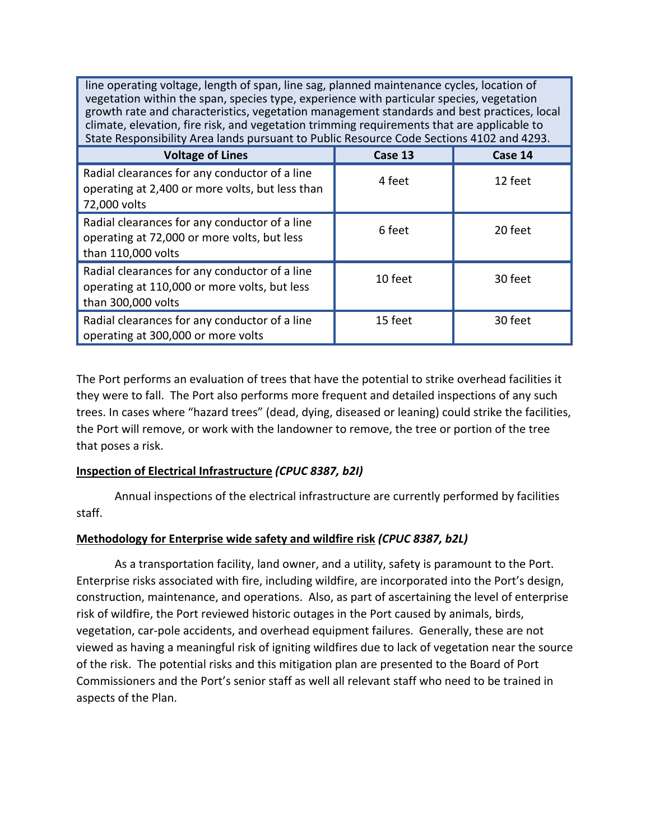line operating voltage, length of span, line sag, planned maintenance cycles, location of vegetation within the span, species type, experience with particular species, vegetation growth rate and characteristics, vegetation management standards and best practices, local climate, elevation, fire risk, and vegetation trimming requirements that are applicable to State Responsibility Area lands pursuant to Public Resource Code Sections 4102 and 4293.

| <b>Voltage of Lines</b>                                                                                             | Case 13 | Case 14 |
|---------------------------------------------------------------------------------------------------------------------|---------|---------|
| Radial clearances for any conductor of a line<br>operating at 2,400 or more volts, but less than<br>72,000 volts    | 4 feet  | 12 feet |
| Radial clearances for any conductor of a line<br>operating at 72,000 or more volts, but less<br>than 110,000 volts  | 6 feet  | 20 feet |
| Radial clearances for any conductor of a line<br>operating at 110,000 or more volts, but less<br>than 300,000 volts | 10 feet | 30 feet |
| Radial clearances for any conductor of a line<br>operating at 300,000 or more volts                                 | 15 feet | 30 feet |

The Port performs an evaluation of trees that have the potential to strike overhead facilities it they were to fall. The Port also performs more frequent and detailed inspections of any such trees. In cases where "hazard trees" (dead, dying, diseased or leaning) could strike the facilities, the Port will remove, or work with the landowner to remove, the tree or portion of the tree that poses a risk.

## **Inspection of Electrical Infrastructure** *(CPUC 8387, b2I)*

Annual inspections of the electrical infrastructure are currently performed by facilities staff.

#### **Methodology for Enterprise wide safety and wildfire risk** *(CPUC 8387, b2L)*

As a transportation facility, land owner, and a utility, safety is paramount to the Port. Enterprise risks associated with fire, including wildfire, are incorporated into the Port's design, construction, maintenance, and operations. Also, as part of ascertaining the level of enterprise risk of wildfire, the Port reviewed historic outages in the Port caused by animals, birds, vegetation, car-pole accidents, and overhead equipment failures. Generally, these are not viewed as having a meaningful risk of igniting wildfires due to lack of vegetation near the source of the risk. The potential risks and this mitigation plan are presented to the Board of Port Commissioners and the Port's senior staff as well all relevant staff who need to be trained in aspects of the Plan.